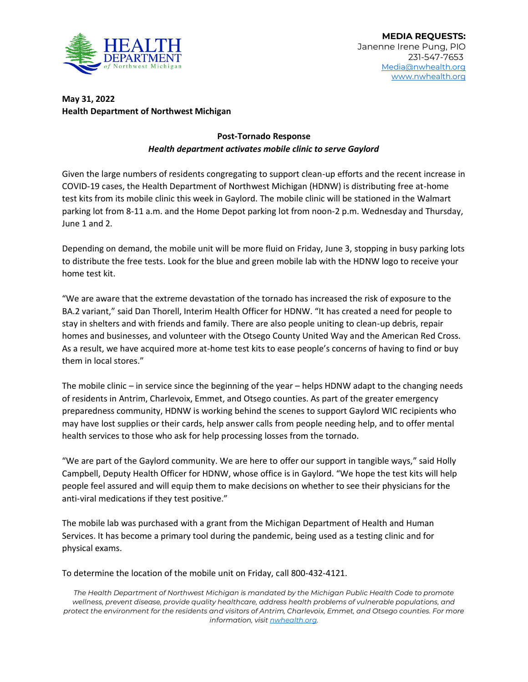

## **May 31, 2022 Health Department of Northwest Michigan**

## **Post-Tornado Response** *Health department activates mobile clinic to serve Gaylord*

Given the large numbers of residents congregating to support clean-up efforts and the recent increase in COVID-19 cases, the Health Department of Northwest Michigan (HDNW) is distributing free at-home test kits from its mobile clinic this week in Gaylord. The mobile clinic will be stationed in the Walmart parking lot from 8-11 a.m. and the Home Depot parking lot from noon-2 p.m. Wednesday and Thursday, June 1 and 2.

Depending on demand, the mobile unit will be more fluid on Friday, June 3, stopping in busy parking lots to distribute the free tests. Look for the blue and green mobile lab with the HDNW logo to receive your home test kit.

"We are aware that the extreme devastation of the tornado has increased the risk of exposure to the BA.2 variant," said Dan Thorell, Interim Health Officer for HDNW. "It has created a need for people to stay in shelters and with friends and family. There are also people uniting to clean-up debris, repair homes and businesses, and volunteer with the Otsego County United Way and the American Red Cross. As a result, we have acquired more at-home test kits to ease people's concerns of having to find or buy them in local stores."

The mobile clinic – in service since the beginning of the year – helps HDNW adapt to the changing needs of residents in Antrim, Charlevoix, Emmet, and Otsego counties. As part of the greater emergency preparedness community, HDNW is working behind the scenes to support Gaylord WIC recipients who may have lost supplies or their cards, help answer calls from people needing help, and to offer mental health services to those who ask for help processing losses from the tornado.

"We are part of the Gaylord community. We are here to offer our support in tangible ways," said Holly Campbell, Deputy Health Officer for HDNW, whose office is in Gaylord. "We hope the test kits will help people feel assured and will equip them to make decisions on whether to see their physicians for the anti-viral medications if they test positive."

The mobile lab was purchased with a grant from the Michigan Department of Health and Human Services. It has become a primary tool during the pandemic, being used as a testing clinic and for physical exams.

To determine the location of the mobile unit on Friday, call 800-432-4121.

*The Health Department of Northwest Michigan is mandated by the Michigan Public Health Code to promote wellness, prevent disease, provide quality healthcare, address health problems of vulnerable populations, and protect the environment for the residents and visitors of Antrim, Charlevoix, Emmet, and Otsego counties. For more information, visi[t nwhealth.org.](http://nwhealth.org/)*